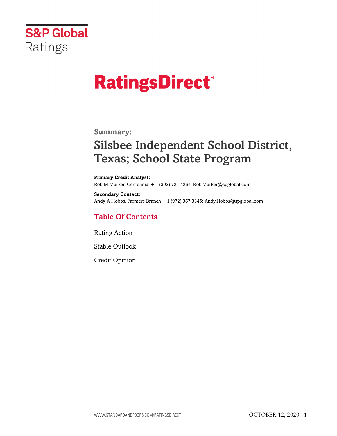

# **RatingsDirect®**

# **Summary:**

# Silsbee Independent School District, Texas; School State Program

**Primary Credit Analyst:** Rob M Marker, Centennial + 1 (303) 721 4264; Rob.Marker@spglobal.com

**Secondary Contact:** Andy A Hobbs, Farmers Branch + 1 (972) 367 3345; Andy.Hobbs@spglobal.com

# Table Of Contents

[Rating Action](#page-1-0)

[Stable Outlook](#page-2-0)

[Credit Opinion](#page-2-1)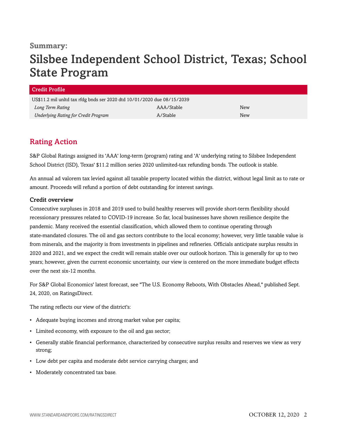# **Summary:**

# Silsbee Independent School District, Texas; School State Program

| Credit Profile                                                          |            |     |
|-------------------------------------------------------------------------|------------|-----|
| US\$11.2 mil unltd tax rfdg bnds ser 2020 dtd 10/01/2020 due 08/15/2039 |            |     |
| Long Term Rating                                                        | AAA/Stable | New |
| <b>Underlying Rating for Credit Program</b>                             | A/Stable   | New |

# <span id="page-1-0"></span>Rating Action

S&P Global Ratings assigned its 'AAA' long-term (program) rating and 'A' underlying rating to Silsbee Independent School District (ISD), Texas' \$11.2 million series 2020 unlimited-tax refunding bonds. The outlook is stable.

An annual ad valorem tax levied against all taxable property located within the district, without legal limit as to rate or amount. Proceeds will refund a portion of debt outstanding for interest savings.

## Credit overview

Consecutive surpluses in 2018 and 2019 used to build healthy reserves will provide short-term flexibility should recessionary pressures related to COVID-19 increase. So far, local businesses have shown resilience despite the pandemic. Many received the essential classification, which allowed them to continue operating through state-mandated closures. The oil and gas sectors contribute to the local economy; however, very little taxable value is from minerals, and the majority is from investments in pipelines and refineries. Officials anticipate surplus results in 2020 and 2021, and we expect the credit will remain stable over our outlook horizon. This is generally for up to two years; however, given the current economic uncertainty, our view is centered on the more immediate budget effects over the next six-12 months.

For S&P Global Economics' latest forecast, see "The U.S. Economy Reboots, With Obstacles Ahead," published Sept. 24, 2020, on RatingsDirect.

The rating reflects our view of the district's:

- Adequate buying incomes and strong market value per capita;
- Limited economy, with exposure to the oil and gas sector;
- Generally stable financial performance, characterized by consecutive surplus results and reserves we view as very strong;
- Low debt per capita and moderate debt service carrying charges; and
- Moderately concentrated tax base.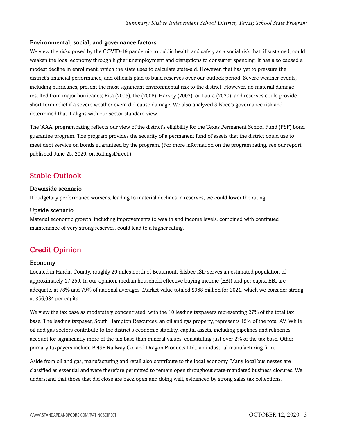### Environmental, social, and governance factors

We view the risks posed by the COVID-19 pandemic to public health and safety as a social risk that, if sustained, could weaken the local economy through higher unemployment and disruptions to consumer spending. It has also caused a modest decline in enrollment, which the state uses to calculate state-aid. However, that has yet to pressure the district's financial performance, and officials plan to build reserves over our outlook period. Severe weather events, including hurricanes, present the most significant environmental risk to the district. However, no material damage resulted from major hurricanes; Rita (2005), Ike (2008), Harvey (2007), or Laura (2020), and reserves could provide short term relief if a severe weather event did cause damage. We also analyzed Silsbee's governance risk and determined that it aligns with our sector standard view.

The 'AAA' program rating reflects our view of the district's eligibility for the Texas Permanent School Fund (PSF) bond guarantee program. The program provides the security of a permanent fund of assets that the district could use to meet debt service on bonds guaranteed by the program. (For more information on the program rating, see our report published June 25, 2020, on RatingsDirect.)

# <span id="page-2-0"></span>Stable Outlook

#### Downside scenario

If budgetary performance worsens, leading to material declines in reserves, we could lower the rating.

#### Upside scenario

Material economic growth, including improvements to wealth and income levels, combined with continued maintenance of very strong reserves, could lead to a higher rating.

# <span id="page-2-1"></span>Credit Opinion

#### Economy

Located in Hardin County, roughly 20 miles north of Beaumont, Silsbee ISD serves an estimated population of approximately 17,259. In our opinion, median household effective buying income (EBI) and per capita EBI are adequate, at 78% and 79% of national averages. Market value totaled \$968 million for 2021, which we consider strong, at \$56,084 per capita.

We view the tax base as moderately concentrated, with the 10 leading taxpayers representing 27% of the total tax base. The leading taxpayer, South Hampton Resources, an oil and gas property, represents 15% of the total AV. While oil and gas sectors contribute to the district's economic stability, capital assets, including pipelines and refineries, account for significantly more of the tax base than mineral values, constituting just over 2% of the tax base. Other primary taxpayers include BNSF Railway Co, and Dragon Products Ltd., an industrial manufacturing firm.

Aside from oil and gas, manufacturing and retail also contribute to the local economy. Many local businesses are classified as essential and were therefore permitted to remain open throughout state-mandated business closures. We understand that those that did close are back open and doing well, evidenced by strong sales tax collections.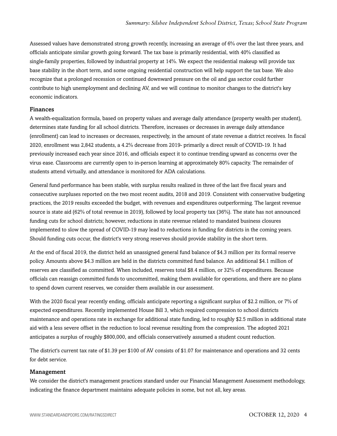Assessed values have demonstrated strong growth recently, increasing an average of 6% over the last three years, and officials anticipate similar growth going forward. The tax base is primarily residential, with 40% classified as single-family properties, followed by industrial property at 14%. We expect the residential makeup will provide tax base stability in the short term, and some ongoing residential construction will help support the tax base. We also recognize that a prolonged recession or continued downward pressure on the oil and gas sector could further contribute to high unemployment and declining AV, and we will continue to monitor changes to the district's key economic indicators.

### Finances

A wealth-equalization formula, based on property values and average daily attendance (property wealth per student), determines state funding for all school districts. Therefore, increases or decreases in average daily attendance (enrollment) can lead to increases or decreases, respectively, in the amount of state revenue a district receives. In fiscal 2020, enrollment was 2,842 students, a 4.2% decrease from 2019- primarily a direct result of COVID-19. It had previously increased each year since 2016, and officials expect it to continue trending upward as concerns over the virus ease. Classrooms are currently open to in-person learning at approximately 80% capacity. The remainder of students attend virtually, and attendance is monitored for ADA calculations.

General fund performance has been stable, with surplus results realized in three of the last five fiscal years and consecutive surpluses reported on the two most recent audits, 2018 and 2019. Consistent with conservative budgeting practices, the 2019 results exceeded the budget, with revenues and expenditures outperforming. The largest revenue source is state aid (62% of total revenue in 2019), followed by local property tax (36%). The state has not announced funding cuts for school districts; however, reductions in state revenue related to mandated business closures implemented to slow the spread of COVID-19 may lead to reductions in funding for districts in the coming years. Should funding cuts occur, the district's very strong reserves should provide stability in the short term.

At the end of fiscal 2019, the district held an unassigned general fund balance of \$4.3 million per its formal reserve policy. Amounts above \$4.3 million are held in the districts committed fund balance. An additional \$4.1 million of reserves are classified as committed. When included, reserves total \$8.4 million, or 32% of expenditures. Because officials can reassign committed funds to uncommitted, making them available for operations, and there are no plans to spend down current reserves, we consider them available in our assessment.

With the 2020 fiscal year recently ending, officials anticipate reporting a significant surplus of \$2.2 million, or 7% of expected expenditures. Recently implemented House Bill 3, which required compression to school districts maintenance and operations rate in exchange for additional state funding, led to roughly \$2.5 million in additional state aid with a less severe offset in the reduction to local revenue resulting from the compression. The adopted 2021 anticipates a surplus of roughly \$800,000, and officials conservatively assumed a student count reduction.

The district's current tax rate of \$1.39 per \$100 of AV consists of \$1.07 for maintenance and operations and 32 cents for debt service.

#### Management

We consider the district's management practices standard under our Financial Management Assessment methodology, indicating the finance department maintains adequate policies in some, but not all, key areas.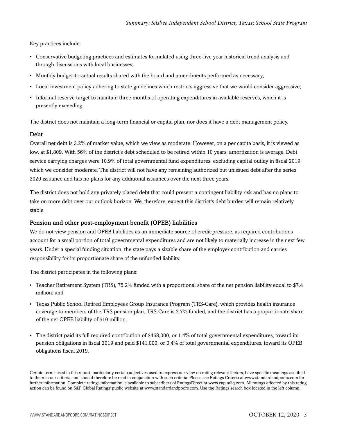Key practices include:

- Conservative budgeting practices and estimates formulated using three-five year historical trend analysis and through discussions with local businesses;
- Monthly budget-to-actual results shared with the board and amendments performed as necessary;
- Local investment policy adhering to state guidelines which restricts aggressive that we would consider aggressive;
- Informal reserve target to maintain three months of operating expenditures in available reserves, which it is presently exceeding.

The district does not maintain a long-term financial or capital plan, nor does it have a debt management policy.

### Debt

Overall net debt is 3.2% of market value, which we view as moderate. However, on a per capita basis, it is viewed as low, at \$1,809. With 56% of the district's debt scheduled to be retired within 10 years, amortization is average. Debt service carrying charges were 10.9% of total governmental fund expenditures, excluding capital outlay in fiscal 2019, which we consider moderate. The district will not have any remaining authorized but unissued debt after the series 2020 issuance and has no plans for any additional issuances over the next three years.

The district does not hold any privately placed debt that could present a contingent liability risk and has no plans to take on more debt over our outlook horizon. We, therefore, expect this district's debt burden will remain relatively stable.

### Pension and other post-employment benefit (OPEB) liabilities

We do not view pension and OPEB liabilities as an immediate source of credit pressure, as required contributions account for a small portion of total governmental expenditures and are not likely to materially increase in the next few years. Under a special funding situation, the state pays a sizable share of the employer contribution and carries responsibility for its proportionate share of the unfunded liability.

The district participates in the following plans:

- Teacher Retirement System (TRS), 75.2% funded with a proportional share of the net pension liability equal to \$7.4 million; and
- Texas Public School Retired Employees Group Insurance Program (TRS-Care), which provides health insurance coverage to members of the TRS pension plan. TRS-Care is 2.7% funded, and the district has a proportionate share of the net OPEB liability of \$10 million.
- The district paid its full required contribution of \$468,000, or 1.4% of total governmental expenditures, toward its pension obligations in fiscal 2019 and paid \$141,000, or 0.4% of total governmental expenditures, toward its OPEB obligations fiscal 2019.

Certain terms used in this report, particularly certain adjectives used to express our view on rating relevant factors, have specific meanings ascribed to them in our criteria, and should therefore be read in conjunction with such criteria. Please see Ratings Criteria at www.standardandpoors.com for further information. Complete ratings information is available to subscribers of RatingsDirect at www.capitaliq.com. All ratings affected by this rating action can be found on S&P Global Ratings' public website at www.standardandpoors.com. Use the Ratings search box located in the left column.